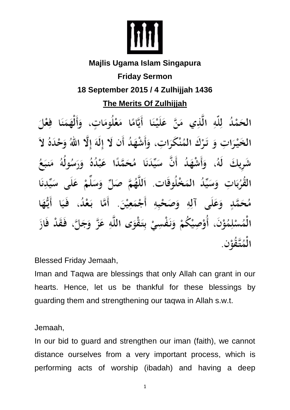

## **Majlis Ugama Islam Singapura**

## **Friday Sermon 18 September 2015 / 4 Zulhijjah 1436**

**The Merits Of Zulhijjah**

الحَمْدُ لِلَّهِ الَّذِي مَنَّ عَلَيْنَا أَيَّامًا مَعْلُومَاتٍ، وَأَلْهَمَنَا فِعْلَ الخَيْرَاتِ وَ تَرْكَ المُنْكَرَاتِ، وَأَشْهَدُ أَن لَا إِلَهَ إِلَّا اللَّهُ وَحْدَهُ لاَ شَرِيكَ لَهُ، وَأَشْهَدُ أَنَّ سَيِّدَنَا مُحَمَّدًا عَبْدُهُ وَرَسُولُهُ تِ وَسَيِّدُ المَخْلُوقَاتِ. اَللَّهُمَّ صَلِّ وَسَلَّمْ عَلَى وَعَلَى آلِهِ وَصَحْبِهِ أَجْمَعِيْنَ. أَمَّا بَعْدُ، فَيَا أَيُّهَا لِمُوْنَ، أَوْصِيْكُمْ وَنَفْسِيْ بِتَقْوَى اللَّهِ عَزَّ وَجَلَّ، فَقَدْ فَازَ

Blessed Friday Jemaah,

Iman and Taqwa are blessings that only Allah can grant in our hearts. Hence, let us be thankful for these blessings by guarding them and strengthening our taqwa in Allah s.w.t.

Jemaah,

In our bid to guard and strengthen our iman (faith), we cannot distance ourselves from a very important process, which is performing acts of worship (ibadah) and having a deep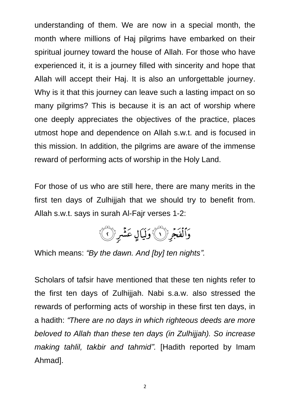understanding of them. We are now in a special month, the month where millions of Haj pilgrims have embarked on their spiritual journey toward the house of Allah. For those who have experienced it, it is a journey filled with sincerity and hope that Allah will accept their Haj. It is also an unforgettable journey. Why is it that this journey can leave such a lasting impact on so many pilgrims? This is because it is an act of worship where one deeply appreciates the objectives of the practice, places utmost hope and dependence on Allah s.w.t. and is focused in this mission. In addition, the pilgrims are aware of the immense reward of performing acts of worship in the Holy Land.

For those of us who are still here, there are many merits in the first ten days of Zulhijjah that we should try to benefit from. Allah s.w.t. says in surah Al-Fajr verses 1-2:



Which means: *"By the dawn. And [by] ten nights".*

Scholars of tafsir have mentioned that these ten nights refer to the first ten days of Zulhijjah. Nabi s.a.w. also stressed the rewards of performing acts of worship in these first ten days, in a hadith: *"There are no days in which righteous deeds are more beloved to Allah than these ten days (in Zulhijjah). So increase making tahlil, takbir and tahmid".* [Hadith reported by Imam Ahmad].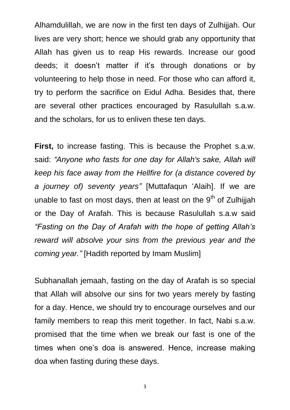Alhamdulillah, we are now in the first ten days of Zulhijiah. Our lives are very short; hence we should grab any opportunity that Allah has given us to reap His rewards. Increase our good deeds; it doesn't matter if it's through donations or by volunteering to help those in need. For those who can afford it, try to perform the sacrifice on Eidul Adha. Besides that, there are several other practices encouraged by Rasulullah s.a.w. and the scholars, for us to enliven these ten days.

**First,** to increase fasting. This is because the Prophet s.a.w. said: *"Anyone who fasts for one day for Allah's sake, Allah will keep his face away from the Hellfire for (a distance covered by a journey of) seventy years"* [Muttafaqun 'Alaih]. If we are unable to fast on most days, then at least on the  $9<sup>th</sup>$  of Zulhijiah or the Day of Arafah. This is because Rasulullah s.a.w said *"Fasting on the Day of Arafah with the hope of getting Allah's reward will absolve your sins from the previous year and the coming year."* [Hadith reported by Imam Muslim]

Subhanallah jemaah, fasting on the day of Arafah is so special that Allah will absolve our sins for two years merely by fasting for a day. Hence, we should try to encourage ourselves and our family members to reap this merit together. In fact, Nabi s.a.w. promised that the time when we break our fast is one of the times when one's doa is answered. Hence, increase making doa when fasting during these days.

3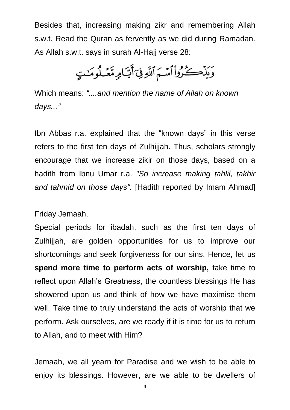Besides that, increasing making zikr and remembering Allah s.w.t. Read the Quran as fervently as we did during Ramadan. As Allah s.w.t. says in surah Al-Hajj verse 28:

وَيَذْكِرُواْأَسَّمَ ٱللَّهِ فِيَ أَيَّامٍ مَّعَـٰلُومَنْتٍ

Which means: *"....and mention the name of Allah on known days..."*

Ibn Abbas r.a. explained that the "known days" in this verse refers to the first ten days of Zulhijiah. Thus, scholars strongly encourage that we increase zikir on those days, based on a hadith from Ibnu Umar r.a. *"So increase making tahlil, takbir and tahmid on those days".* [Hadith reported by Imam Ahmad]

Friday Jemaah,

Special periods for ibadah, such as the first ten days of Zulhijjah, are golden opportunities for us to improve our shortcomings and seek forgiveness for our sins. Hence, let us **spend more time to perform acts of worship,** take time to reflect upon Allah's Greatness, the countless blessings He has showered upon us and think of how we have maximise them well. Take time to truly understand the acts of worship that we perform. Ask ourselves, are we ready if it is time for us to return to Allah, and to meet with Him?

Jemaah, we all yearn for Paradise and we wish to be able to enjoy its blessings. However, are we able to be dwellers of